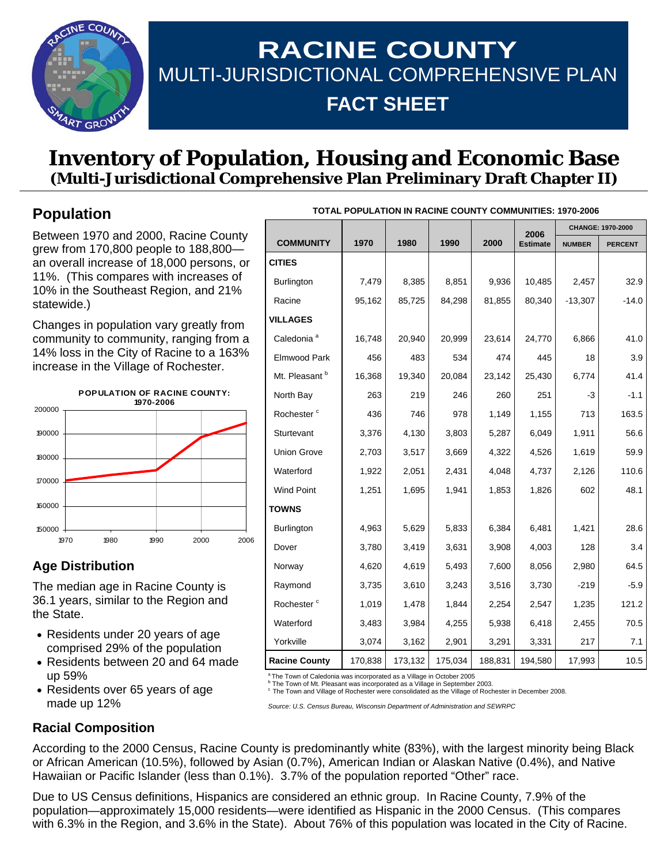

# **RACINE COUNTY**  MULTI-JURISDICTIONAL COMPREHENSIVE PLAN **FACT SHEET**

## **Inventory of Population, Housing and Economic Base (Multi-Jurisdictional Comprehensive Plan Preliminary Draft Chapter II)**

### **Population**

Between 1970 and 2000, Racine County grew from 170,800 people to 188,800 an overall increase of 18,000 persons, or 11%. (This compares with increases of 10% in the Southeast Region, and 21% statewide.)

Changes in population vary greatly from community to community, ranging from a 14% loss in the City of Racine to a 163% increase in the Village of Rochester.



### **Age Distribution**

The median age in Racine County is 36.1 years, similar to the Region and the State.

- Residents under 20 years of age comprised 29% of the population
- Residents between 20 and 64 made up 59%
- Residents over 65 years of age made up 12%

| <b>IUTAL PUPULATION IN RAGINE GOUNTY GOMMUNITIES: 1970-2006</b> |         |         |         |         |                 |                   |                |
|-----------------------------------------------------------------|---------|---------|---------|---------|-----------------|-------------------|----------------|
|                                                                 |         |         |         |         | 2006            | CHANGE: 1970-2000 |                |
| <b>COMMUNITY</b>                                                | 1970    | 1980    | 1990    | 2000    | <b>Estimate</b> | <b>NUMBER</b>     | <b>PERCENT</b> |
| <b>CITIES</b>                                                   |         |         |         |         |                 |                   |                |
| Burlington                                                      | 7,479   | 8,385   | 8,851   | 9,936   | 10,485          | 2,457             | 32.9           |
| Racine                                                          | 95,162  | 85,725  | 84,298  | 81,855  | 80,340          | $-13,307$         | $-14.0$        |
| <b>VILLAGES</b>                                                 |         |         |         |         |                 |                   |                |
| Caledonia <sup>a</sup>                                          | 16,748  | 20,940  | 20,999  | 23,614  | 24,770          | 6,866             | 41.0           |
| Elmwood Park                                                    | 456     | 483     | 534     | 474     | 445             | 18                | 3.9            |
| Mt. Pleasant <sup>b</sup>                                       | 16,368  | 19,340  | 20,084  | 23,142  | 25,430          | 6,774             | 41.4           |
| North Bay                                                       | 263     | 219     | 246     | 260     | 251             | $-3$              | $-1.1$         |
| Rochester <sup>c</sup>                                          | 436     | 746     | 978     | 1,149   | 1,155           | 713               | 163.5          |
| Sturtevant                                                      | 3,376   | 4,130   | 3,803   | 5,287   | 6,049           | 1,911             | 56.6           |
| <b>Union Grove</b>                                              | 2,703   | 3,517   | 3,669   | 4,322   | 4,526           | 1,619             | 59.9           |
| Waterford                                                       | 1,922   | 2,051   | 2,431   | 4,048   | 4,737           | 2,126             | 110.6          |
| <b>Wind Point</b>                                               | 1,251   | 1,695   | 1,941   | 1,853   | 1,826           | 602               | 48.1           |
| <b>TOWNS</b>                                                    |         |         |         |         |                 |                   |                |
| Burlington                                                      | 4,963   | 5,629   | 5,833   | 6,384   | 6,481           | 1,421             | 28.6           |
| Dover                                                           | 3,780   | 3,419   | 3,631   | 3,908   | 4,003           | 128               | 3.4            |
| Norway                                                          | 4,620   | 4,619   | 5,493   | 7,600   | 8,056           | 2,980             | 64.5           |
| Raymond                                                         | 3,735   | 3,610   | 3,243   | 3,516   | 3,730           | $-219$            | $-5.9$         |
| Rochester <sup>c</sup>                                          | 1,019   | 1,478   | 1,844   | 2,254   | 2,547           | 1,235             | 121.2          |
| Waterford                                                       | 3,483   | 3,984   | 4,255   | 5,938   | 6,418           | 2,455             | 70.5           |
| Yorkville                                                       | 3,074   | 3,162   | 2,901   | 3,291   | 3,331           | 217               | 7.1            |
| <b>Racine County</b>                                            | 170,838 | 173,132 | 175,034 | 188,831 | 194,580         | 17,993            | 10.5           |

**TOTAL POPULATION IN RACINE COUNTY COMMUNITIES: 1970-2006** 

<sup>a</sup> The Town of Caledonia was incorporated as a Village in October 2005

The Town of Mt. Pleasant was incorporated as a Village in September 2003.

c The Town and Village of Rochester were consolidated as the Village of Rochester in December 2008.

*Source: U.S. Census Bureau, Wisconsin Department of Administration and SEWRPC* 

#### **Racial Composition**

According to the 2000 Census, Racine County is predominantly white (83%), with the largest minority being Black or African American (10.5%), followed by Asian (0.7%), American Indian or Alaskan Native (0.4%), and Native Hawaiian or Pacific Islander (less than 0.1%). 3.7% of the population reported "Other" race.

Due to US Census definitions, Hispanics are considered an ethnic group. In Racine County, 7.9% of the population—approximately 15,000 residents—were identified as Hispanic in the 2000 Census. (This compares with 6.3% in the Region, and 3.6% in the State). About 76% of this population was located in the City of Racine.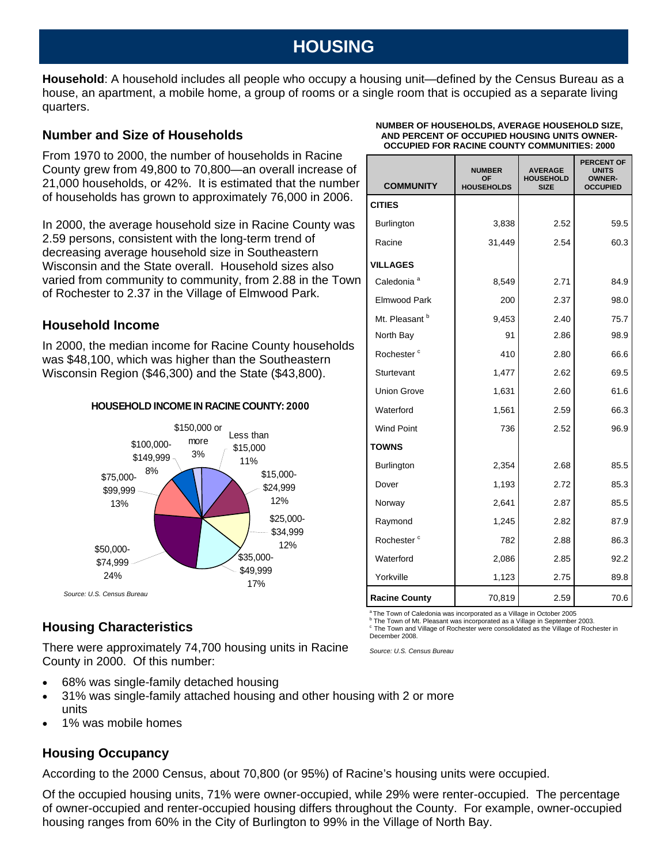## **HOUSING**

**Household**: A household includes all people who occupy a housing unit—defined by the Census Bureau as a house, an apartment, a mobile home, a group of rooms or a single room that is occupied as a separate living quarters.

#### **Number and Size of Households**

From 1970 to 2000, the number of households in Racine County grew from 49,800 to 70,800—an overall increase of 21,000 households, or 42%. It is estimated that the number of households has grown to approximately 76,000 in 2006.

In 2000, the average household size in Racine County was 2.59 persons, consistent with the long-term trend of decreasing average household size in Southeastern Wisconsin and the State overall. Household sizes also varied from community to community, from 2.88 in the Town of Rochester to 2.37 in the Village of Elmwood Park.

#### **Household Income**

In 2000, the median income for Racine County households was \$48,100, which was higher than the Southeastern Wisconsin Region (\$46,300) and the State (\$43,800).



### **Housing Characteristics**

There were approximately 74,700 housing units in Racine County in 2000. Of this number:

- 68% was single-family detached housing
- 31% was single-family attached housing and other housing with 2 or more units
- 1% was mobile homes

#### **Housing Occupancy**

According to the 2000 Census, about 70,800 (or 95%) of Racine's housing units were occupied.

Of the occupied housing units, 71% were owner-occupied, while 29% were renter-occupied. The percentage of owner-occupied and renter-occupied housing differs throughout the County. For example, owner-occupied housing ranges from 60% in the City of Burlington to 99% in the Village of North Bay.

#### **NUMBER OF HOUSEHOLDS, AVERAGE HOUSEHOLD SIZE, AND PERCENT OF OCCUPIED HOUSING UNITS OWNER-OCCUPIED FOR RACINE COUNTY COMMUNITIES: 2000**

| <b>COMMUNITY</b>       | <b>NUMBER</b><br>OF<br><b>HOUSEHOLDS</b> | <b>AVERAGE</b><br><b>HOUSEHOLD</b><br><b>SIZE</b> | <b>PERCENT OF</b><br><b>UNITS</b><br><b>OWNER-</b><br><b>OCCUPIED</b> |
|------------------------|------------------------------------------|---------------------------------------------------|-----------------------------------------------------------------------|
| <b>CITIES</b>          |                                          |                                                   |                                                                       |
| <b>Burlington</b>      | 3,838                                    | 2.52                                              | 59.5                                                                  |
| Racine                 | 31,449                                   | 2.54                                              | 60.3                                                                  |
| <b>VILLAGES</b>        |                                          |                                                   |                                                                       |
| Caledonia <sup>a</sup> | 8,549                                    | 2.71                                              | 84.9                                                                  |
| <b>Elmwood Park</b>    | 200                                      | 2.37                                              | 98.0                                                                  |
| Mt. Pleasant b         | 9,453                                    | 2.40                                              | 75.7                                                                  |
| North Bay              | 91                                       | 2.86                                              | 98.9                                                                  |
| Rochester <sup>c</sup> | 410                                      | 2.80                                              | 66.6                                                                  |
| Sturtevant             | 1,477                                    | 2.62                                              | 69.5                                                                  |
| <b>Union Grove</b>     | 1,631                                    | 2.60                                              | 61.6                                                                  |
| Waterford              | 1,561                                    | 2.59                                              | 66.3                                                                  |
| <b>Wind Point</b>      | 736                                      | 2.52                                              | 96.9                                                                  |
| <b>TOWNS</b>           |                                          |                                                   |                                                                       |
| Burlington             | 2,354                                    | 2.68                                              | 85.5                                                                  |
| Dover                  | 1,193                                    | 2.72                                              | 85.3                                                                  |
| Norway                 | 2,641                                    | 2.87                                              | 85.5                                                                  |
| Raymond                | 1,245                                    | 2.82                                              | 87.9                                                                  |
| Rochester <sup>c</sup> | 782                                      | 2.88                                              | 86.3                                                                  |
| Waterford              | 2,086                                    | 2.85                                              | 92.2                                                                  |
| Yorkville              | 1,123                                    | 2.75                                              | 89.8                                                                  |
| <b>Racine County</b>   | 70,819                                   | 2.59                                              | 70.6                                                                  |

 $^{\circ}$ The Town of Caledonia was incorporated as a Village in October 2005

<sup>b</sup> The Town of Mt. Pleasant was incorporated as a Village in September 2003.

c The Town and Village of Rochester were consolidated as the Village of Rochester in December 2008.

*Source: U.S. Census Bureau*